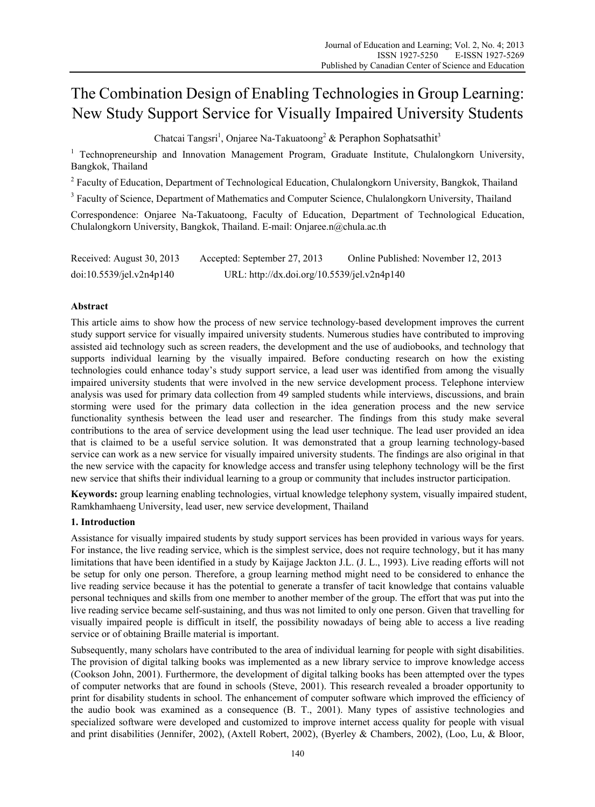# The Combination Design of Enabling Technologies in Group Learning: New Study Support Service for Visually Impaired University Students

Chatcai Tangsri<sup>1</sup>, Onjaree Na-Takuatoong<sup>2</sup> & Peraphon Sophatsathit<sup>3</sup>

<sup>1</sup> Technopreneurship and Innovation Management Program, Graduate Institute, Chulalongkorn University, Bangkok, Thailand

<sup>2</sup> Faculty of Education, Department of Technological Education, Chulalongkorn University, Bangkok, Thailand

<sup>3</sup> Faculty of Science, Department of Mathematics and Computer Science, Chulalongkorn University, Thailand

Correspondence: Onjaree Na-Takuatoong, Faculty of Education, Department of Technological Education, Chulalongkorn University, Bangkok, Thailand. E-mail: Onjaree.n@chula.ac.th

Received: August 30, 2013 Accepted: September 27, 2013 Online Published: November 12, 2013 doi:10.5539/jel.v2n4p140 URL: http://dx.doi.org/10.5539/jel.v2n4p140

## **Abstract**

This article aims to show how the process of new service technology-based development improves the current study support service for visually impaired university students. Numerous studies have contributed to improving assisted aid technology such as screen readers, the development and the use of audiobooks, and technology that supports individual learning by the visually impaired. Before conducting research on how the existing technologies could enhance today's study support service, a lead user was identified from among the visually impaired university students that were involved in the new service development process. Telephone interview analysis was used for primary data collection from 49 sampled students while interviews, discussions, and brain storming were used for the primary data collection in the idea generation process and the new service functionality synthesis between the lead user and researcher. The findings from this study make several contributions to the area of service development using the lead user technique. The lead user provided an idea that is claimed to be a useful service solution. It was demonstrated that a group learning technology-based service can work as a new service for visually impaired university students. The findings are also original in that the new service with the capacity for knowledge access and transfer using telephony technology will be the first new service that shifts their individual learning to a group or community that includes instructor participation.

**Keywords:** group learning enabling technologies, virtual knowledge telephony system, visually impaired student, Ramkhamhaeng University, lead user, new service development, Thailand

# **1. Introduction**

Assistance for visually impaired students by study support services has been provided in various ways for years. For instance, the live reading service, which is the simplest service, does not require technology, but it has many limitations that have been identified in a study by Kaijage Jackton J.L. (J. L., 1993). Live reading efforts will not be setup for only one person. Therefore, a group learning method might need to be considered to enhance the live reading service because it has the potential to generate a transfer of tacit knowledge that contains valuable personal techniques and skills from one member to another member of the group. The effort that was put into the live reading service became self-sustaining, and thus was not limited to only one person. Given that travelling for visually impaired people is difficult in itself, the possibility nowadays of being able to access a live reading service or of obtaining Braille material is important.

Subsequently, many scholars have contributed to the area of individual learning for people with sight disabilities. The provision of digital talking books was implemented as a new library service to improve knowledge access (Cookson John, 2001). Furthermore, the development of digital talking books has been attempted over the types of computer networks that are found in schools (Steve, 2001). This research revealed a broader opportunity to print for disability students in school. The enhancement of computer software which improved the efficiency of the audio book was examined as a consequence (B. T., 2001). Many types of assistive technologies and specialized software were developed and customized to improve internet access quality for people with visual and print disabilities (Jennifer, 2002), (Axtell Robert, 2002), (Byerley & Chambers, 2002), (Loo, Lu, & Bloor,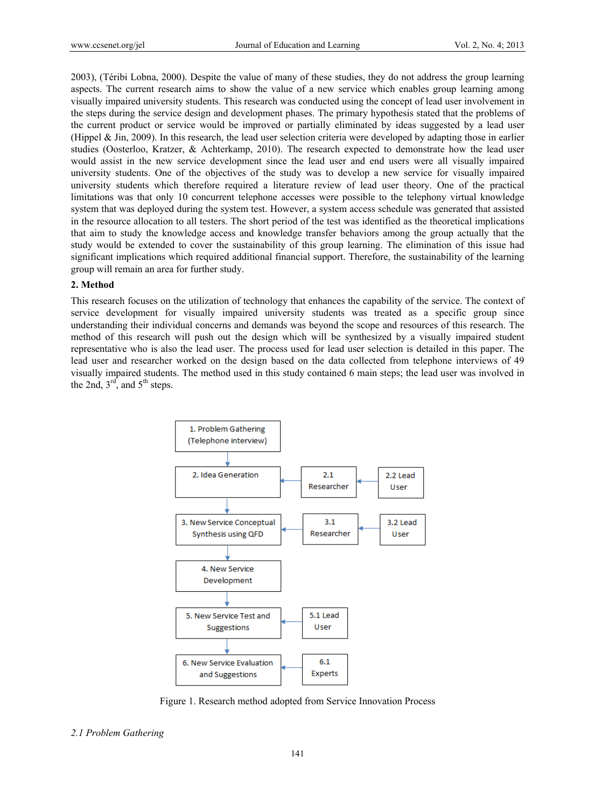2003), (Téribi Lobna, 2000). Despite the value of many of these studies, they do not address the group learning aspects. The current research aims to show the value of a new service which enables group learning among visually impaired university students. This research was conducted using the concept of lead user involvement in the steps during the service design and development phases. The primary hypothesis stated that the problems of the current product or service would be improved or partially eliminated by ideas suggested by a lead user (Hippel & Jin, 2009). In this research, the lead user selection criteria were developed by adapting those in earlier studies (Oosterloo, Kratzer, & Achterkamp, 2010). The research expected to demonstrate how the lead user would assist in the new service development since the lead user and end users were all visually impaired university students. One of the objectives of the study was to develop a new service for visually impaired university students which therefore required a literature review of lead user theory. One of the practical limitations was that only 10 concurrent telephone accesses were possible to the telephony virtual knowledge system that was deployed during the system test. However, a system access schedule was generated that assisted in the resource allocation to all testers. The short period of the test was identified as the theoretical implications that aim to study the knowledge access and knowledge transfer behaviors among the group actually that the study would be extended to cover the sustainability of this group learning. The elimination of this issue had significant implications which required additional financial support. Therefore, the sustainability of the learning group will remain an area for further study.

## **2. Method**

This research focuses on the utilization of technology that enhances the capability of the service. The context of service development for visually impaired university students was treated as a specific group since understanding their individual concerns and demands was beyond the scope and resources of this research. The method of this research will push out the design which will be synthesized by a visually impaired student representative who is also the lead user. The process used for lead user selection is detailed in this paper. The lead user and researcher worked on the design based on the data collected from telephone interviews of 49 visually impaired students. The method used in this study contained 6 main steps; the lead user was involved in the 2nd,  $3<sup>rd</sup>$ , and  $5<sup>th</sup>$  steps.



Figure 1. Research method adopted from Service Innovation Process

*2.1 Problem Gathering*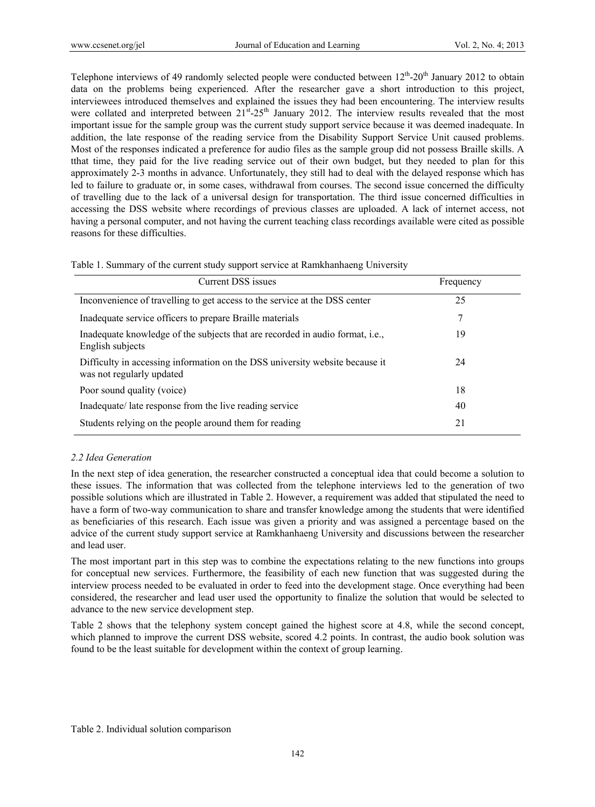Telephone interviews of 49 randomly selected people were conducted between  $12<sup>th</sup>$ -20<sup>th</sup> January 2012 to obtain data on the problems being experienced. After the researcher gave a short introduction to this project, interviewees introduced themselves and explained the issues they had been encountering. The interview results were collated and interpreted between  $21^{st}$ - $25^{th}$  January 2012. The interview results revealed that the most important issue for the sample group was the current study support service because it was deemed inadequate. In addition, the late response of the reading service from the Disability Support Service Unit caused problems. Most of the responses indicated a preference for audio files as the sample group did not possess Braille skills. A tthat time, they paid for the live reading service out of their own budget, but they needed to plan for this approximately 2-3 months in advance. Unfortunately, they still had to deal with the delayed response which has led to failure to graduate or, in some cases, withdrawal from courses. The second issue concerned the difficulty of travelling due to the lack of a universal design for transportation. The third issue concerned difficulties in accessing the DSS website where recordings of previous classes are uploaded. A lack of internet access, not having a personal computer, and not having the current teaching class recordings available were cited as possible reasons for these difficulties.

|  |  |  | Table 1. Summary of the current study support service at Ramkhanhaeng University |  |
|--|--|--|----------------------------------------------------------------------------------|--|
|  |  |  |                                                                                  |  |

| Current DSS issues                                                                                        | Frequency |
|-----------------------------------------------------------------------------------------------------------|-----------|
| Inconvenience of travelling to get access to the service at the DSS center                                | 25        |
| Inadequate service officers to prepare Braille materials                                                  | 7         |
| Inadequate knowledge of the subjects that are recorded in audio format, <i>i.e.</i> ,<br>English subjects | 19        |
| Difficulty in accessing information on the DSS university website because it<br>was not regularly updated | 24        |
| Poor sound quality (voice)                                                                                | 18        |
| Inadequate/ late response from the live reading service                                                   | 40        |
| Students relying on the people around them for reading                                                    | 21        |

## *2.2 Idea Generation*

In the next step of idea generation, the researcher constructed a conceptual idea that could become a solution to these issues. The information that was collected from the telephone interviews led to the generation of two possible solutions which are illustrated in Table 2. However, a requirement was added that stipulated the need to have a form of two-way communication to share and transfer knowledge among the students that were identified as beneficiaries of this research. Each issue was given a priority and was assigned a percentage based on the advice of the current study support service at Ramkhanhaeng University and discussions between the researcher and lead user.

The most important part in this step was to combine the expectations relating to the new functions into groups for conceptual new services. Furthermore, the feasibility of each new function that was suggested during the interview process needed to be evaluated in order to feed into the development stage. Once everything had been considered, the researcher and lead user used the opportunity to finalize the solution that would be selected to advance to the new service development step.

Table 2 shows that the telephony system concept gained the highest score at 4.8, while the second concept, which planned to improve the current DSS website, scored 4.2 points. In contrast, the audio book solution was found to be the least suitable for development within the context of group learning.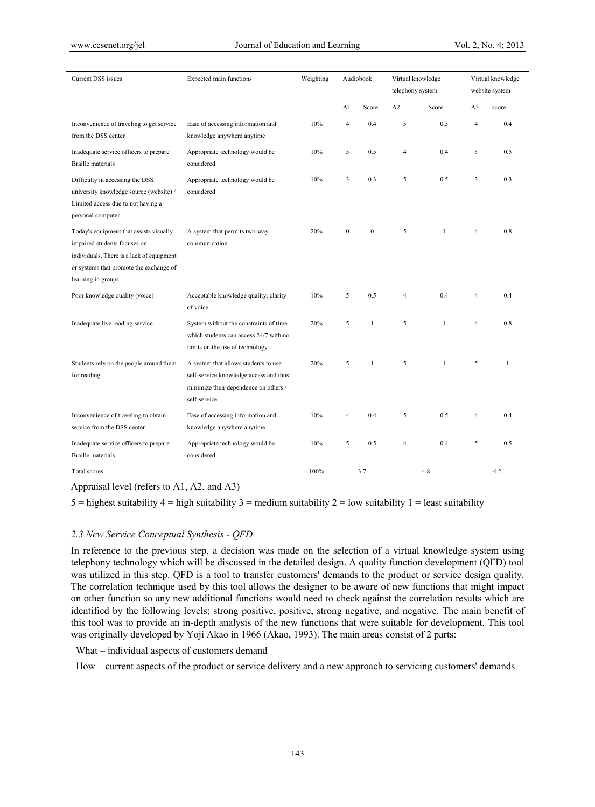| Current DSS issues                                                                                                                                                                     | Expected main functions                                                                                                                  | Weighting |                         | Audiobook        | Virtual knowledge<br>telephony system |              |                | Virtual knowledge<br>website system |
|----------------------------------------------------------------------------------------------------------------------------------------------------------------------------------------|------------------------------------------------------------------------------------------------------------------------------------------|-----------|-------------------------|------------------|---------------------------------------|--------------|----------------|-------------------------------------|
|                                                                                                                                                                                        |                                                                                                                                          |           | A1                      | Score            | A2                                    | Score        | A <sub>3</sub> | score                               |
| Inconvenience of traveling to get service<br>from the DSS center                                                                                                                       | Ease of accessing information and<br>knowledge anywhere anytime                                                                          | 10%       | $\overline{4}$          | 0.4              | 5                                     | 0.5          | $\overline{4}$ | 0.4                                 |
| Inadequate service officers to prepare<br><b>Braille</b> materials                                                                                                                     | Appropriate technology would be<br>considered                                                                                            | 10%       | 5                       | 0.5              | 4                                     | 0.4          | 5              | 0.5                                 |
| Difficulty in accessing the DSS<br>university knowledge source (website) /<br>Limited access due to not having a<br>personal computer                                                  | Appropriate technology would be<br>considered                                                                                            | 10%       | $\overline{\mathbf{3}}$ | 0.3              | 5                                     | 0.5          | 3              | 0.3                                 |
| Today's equipment that assists visually<br>impaired students focuses on<br>individuals. There is a lack of equipment<br>or systems that promote the exchange of<br>learning in groups. | A system that permits two-way<br>communication                                                                                           | 20%       | $\mathbf{0}$            | $\boldsymbol{0}$ | 5                                     | $\mathbf{1}$ | 4              | 0.8                                 |
| Poor knowledge quality (voice)                                                                                                                                                         | Acceptable knowledge quality; clarity<br>of voice                                                                                        | 10%       | 5                       | 0.5              | $\overline{4}$                        | 0.4          | 4              | 0.4                                 |
| Inadequate live reading service                                                                                                                                                        | System without the constraints of time<br>which students can access 24/7 with no<br>limits on the use of technology.                     | 20%       | 5                       | $\mathbf{1}$     | 5                                     | $\mathbf{1}$ | 4              | 0.8                                 |
| Students rely on the people around them<br>for reading                                                                                                                                 | A system that allows students to use<br>self-service knowledge access and thus<br>minimize their dependence on others /<br>self-service. | 20%       | 5                       | $\mathbf{1}$     | 5                                     | $\mathbf{1}$ | 5              | $\mathbf{1}$                        |
| Inconvenience of traveling to obtain<br>service from the DSS center                                                                                                                    | Ease of accessing information and<br>knowledge anywhere anytime                                                                          | 10%       | $\overline{4}$          | 0.4              | 5                                     | 0.5          | 4              | 0.4                                 |
| Inadequate service officers to prepare<br><b>Braille</b> materials                                                                                                                     | Appropriate technology would be<br>considered                                                                                            | 10%       | 5                       | 0.5              | $\overline{4}$                        | 0.4          | 5              | 0.5                                 |
| Total scores                                                                                                                                                                           |                                                                                                                                          | 100%      |                         | 3.7              |                                       | 4.8          |                | 4.2                                 |

# Appraisal level (refers to A1, A2, and A3)

 $5 =$  highest suitability  $4 =$  high suitability  $3 =$  medium suitability  $2 =$  low suitability  $1 =$  least suitability

#### *2.3 New Service Conceptual Synthesis - QFD*

In reference to the previous step, a decision was made on the selection of a virtual knowledge system using telephony technology which will be discussed in the detailed design. A quality function development (QFD) tool was utilized in this step. QFD is a tool to transfer customers' demands to the product or service design quality. The correlation technique used by this tool allows the designer to be aware of new functions that might impact on other function so any new additional functions would need to check against the correlation results which are identified by the following levels; strong positive, positive, strong negative, and negative. The main benefit of this tool was to provide an in-depth analysis of the new functions that were suitable for development. This tool was originally developed by Yoji Akao in 1966 (Akao, 1993). The main areas consist of 2 parts:

What – individual aspects of customers demand

How – current aspects of the product or service delivery and a new approach to servicing customers' demands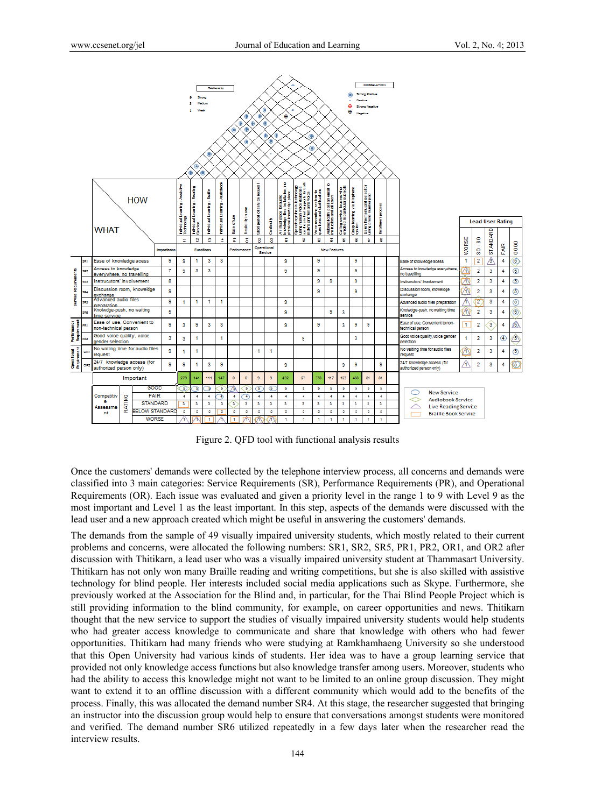

Figure 2. QFD tool with functional analysis results

Once the customers' demands were collected by the telephone interview process, all concerns and demands were classified into 3 main categories: Service Requirements (SR), Performance Requirements (PR), and Operational Requirements (OR). Each issue was evaluated and given a priority level in the range 1 to 9 with Level 9 as the most important and Level 1 as the least important. In this step, aspects of the demands were discussed with the lead user and a new approach created which might be useful in answering the customers' demands.

The demands from the sample of 49 visually impaired university students, which mostly related to their current problems and concerns, were allocated the following numbers: SR1, SR2, SR5, PR1, PR2, OR1, and OR2 after discussion with Thitikarn, a lead user who was a visually impaired university student at Thammasart University. Thitikarn has not only won many Braille reading and writing competitions, but she is also skilled with assistive technology for blind people. Her interests included social media applications such as Skype. Furthermore, she previously worked at the Association for the Blind and, in particular, for the Thai Blind People Project which is still providing information to the blind community, for example, on career opportunities and news. Thitikarn thought that the new service to support the studies of visually impaired university students would help students who had greater access knowledge to communicate and share that knowledge with others who had fewer opportunities. Thitikarn had many friends who were studying at Ramkhamhaeng University so she understood that this Open University had various kinds of students. Her idea was to have a group learning service that provided not only knowledge access functions but also knowledge transfer among users. Moreover, students who had the ability to access this knowledge might not want to be limited to an online group discussion. They might want to extend it to an offline discussion with a different community which would add to the benefits of the process. Finally, this was allocated the demand number SR4. At this stage, the researcher suggested that bringing an instructor into the discussion group would help to ensure that conversations amongst students were monitored and verified. The demand number SR6 utilized repeatedly in a few days later when the researcher read the interview results.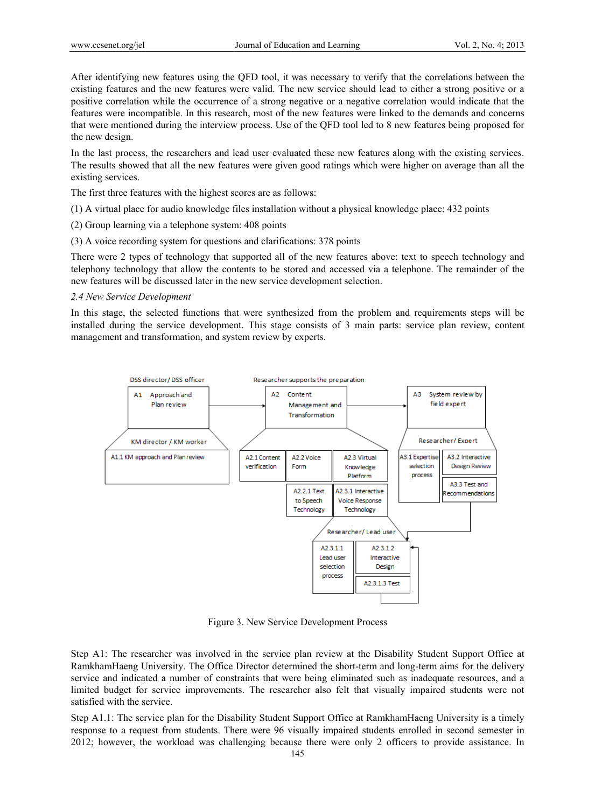After identifying new features using the QFD tool, it was necessary to verify that the correlations between the existing features and the new features were valid. The new service should lead to either a strong positive or a positive correlation while the occurrence of a strong negative or a negative correlation would indicate that the features were incompatible. In this research, most of the new features were linked to the demands and concerns that were mentioned during the interview process. Use of the QFD tool led to 8 new features being proposed for the new design.

In the last process, the researchers and lead user evaluated these new features along with the existing services. The results showed that all the new features were given good ratings which were higher on average than all the existing services.

The first three features with the highest scores are as follows:

- (1) A virtual place for audio knowledge files installation without a physical knowledge place: 432 points
- (2) Group learning via a telephone system: 408 points
- (3) A voice recording system for questions and clarifications: 378 points

There were 2 types of technology that supported all of the new features above: text to speech technology and telephony technology that allow the contents to be stored and accessed via a telephone. The remainder of the new features will be discussed later in the new service development selection.

#### *2.4 New Service Development*

In this stage, the selected functions that were synthesized from the problem and requirements steps will be installed during the service development. This stage consists of 3 main parts: service plan review, content management and transformation, and system review by experts.



Figure 3. New Service Development Process

Step A1: The researcher was involved in the service plan review at the Disability Student Support Office at RamkhamHaeng University. The Office Director determined the short-term and long-term aims for the delivery service and indicated a number of constraints that were being eliminated such as inadequate resources, and a limited budget for service improvements. The researcher also felt that visually impaired students were not satisfied with the service.

Step A1.1: The service plan for the Disability Student Support Office at RamkhamHaeng University is a timely response to a request from students. There were 96 visually impaired students enrolled in second semester in 2012; however, the workload was challenging because there were only 2 officers to provide assistance. In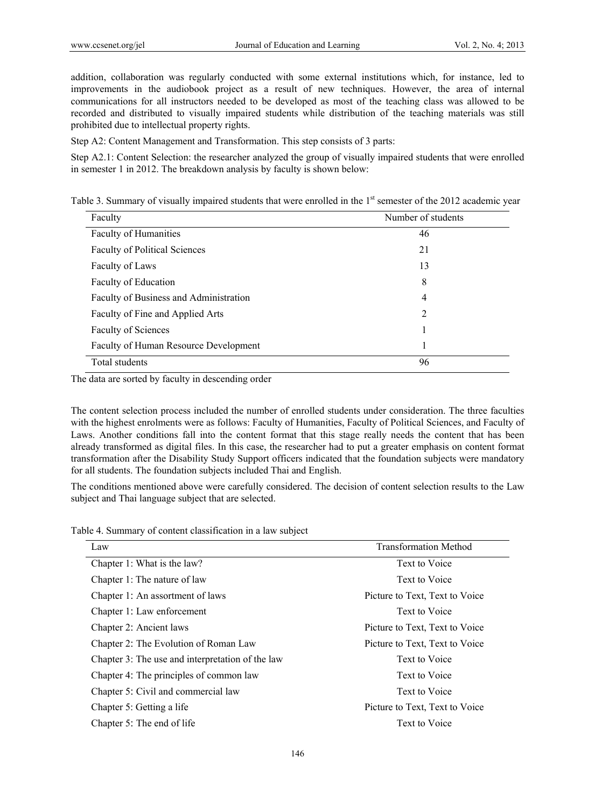addition, collaboration was regularly conducted with some external institutions which, for instance, led to improvements in the audiobook project as a result of new techniques. However, the area of internal communications for all instructors needed to be developed as most of the teaching class was allowed to be recorded and distributed to visually impaired students while distribution of the teaching materials was still prohibited due to intellectual property rights.

Step A2: Content Management and Transformation. This step consists of 3 parts:

Step A2.1: Content Selection: the researcher analyzed the group of visually impaired students that were enrolled in semester 1 in 2012. The breakdown analysis by faculty is shown below:

| Table 3. Summary of visually impaired students that were enrolled in the 1 <sup>st</sup> semester of the 2012 academic year |  |  |  |  |  |
|-----------------------------------------------------------------------------------------------------------------------------|--|--|--|--|--|
|-----------------------------------------------------------------------------------------------------------------------------|--|--|--|--|--|

| Faculty                                | Number of students |
|----------------------------------------|--------------------|
| Faculty of Humanities                  | 46                 |
| <b>Faculty of Political Sciences</b>   | 21                 |
| Faculty of Laws                        | 13                 |
| Faculty of Education                   | 8                  |
| Faculty of Business and Administration | $\overline{4}$     |
| Faculty of Fine and Applied Arts       | $\overline{2}$     |
| <b>Faculty of Sciences</b>             |                    |
| Faculty of Human Resource Development  | 1                  |
| Total students                         | 96                 |

The data are sorted by faculty in descending order

The content selection process included the number of enrolled students under consideration. The three faculties with the highest enrolments were as follows: Faculty of Humanities, Faculty of Political Sciences, and Faculty of Laws. Another conditions fall into the content format that this stage really needs the content that has been already transformed as digital files. In this case, the researcher had to put a greater emphasis on content format transformation after the Disability Study Support officers indicated that the foundation subjects were mandatory for all students. The foundation subjects included Thai and English.

The conditions mentioned above were carefully considered. The decision of content selection results to the Law subject and Thai language subject that are selected.

| Law                                              | <b>Transformation Method</b>   |
|--------------------------------------------------|--------------------------------|
| Chapter 1: What is the law?                      | Text to Voice                  |
| Chapter 1: The nature of law                     | Text to Voice                  |
| Chapter 1: An assortment of laws                 | Picture to Text, Text to Voice |
| Chapter 1: Law enforcement                       | Text to Voice                  |
| Chapter 2: Ancient laws                          | Picture to Text, Text to Voice |
| Chapter 2: The Evolution of Roman Law            | Picture to Text, Text to Voice |
| Chapter 3: The use and interpretation of the law | Text to Voice                  |
| Chapter 4: The principles of common law          | Text to Voice                  |
| Chapter 5: Civil and commercial law              | Text to Voice                  |
| Chapter 5: Getting a life                        | Picture to Text, Text to Voice |
| Chapter 5: The end of life                       | Text to Voice                  |

Table 4. Summary of content classification in a law subject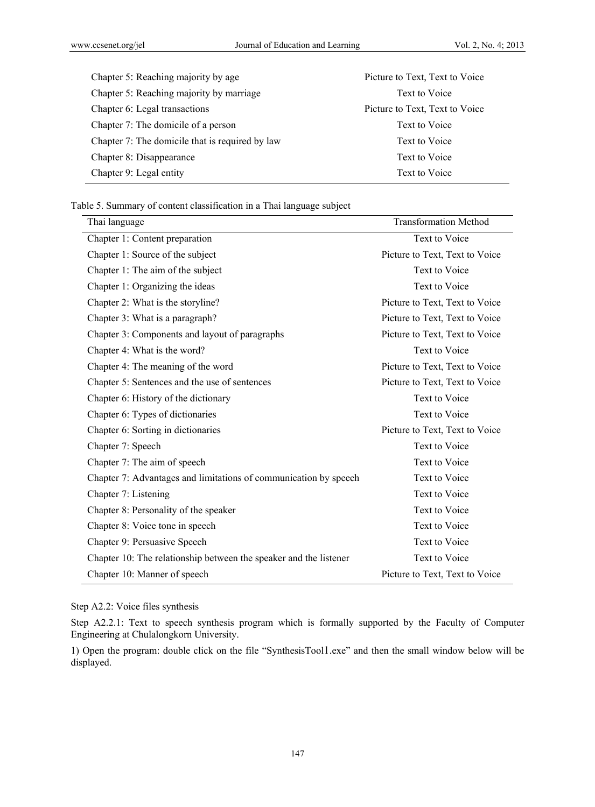| Chapter 5: Reaching majority by age             | Picture to Text, Text to Voice |
|-------------------------------------------------|--------------------------------|
| Chapter 5: Reaching majority by marriage        | Text to Voice                  |
| Chapter 6: Legal transactions                   | Picture to Text, Text to Voice |
| Chapter 7: The domicile of a person             | Text to Voice                  |
| Chapter 7: The domicile that is required by law | Text to Voice                  |
| Chapter 8: Disappearance                        | Text to Voice                  |
| Chapter 9: Legal entity                         | Text to Voice                  |

Table 5. Summary of content classification in a Thai language subject

| Thai language                                                     | <b>Transformation Method</b>   |
|-------------------------------------------------------------------|--------------------------------|
| Chapter 1: Content preparation                                    | Text to Voice                  |
| Chapter 1: Source of the subject                                  | Picture to Text, Text to Voice |
| Chapter 1: The aim of the subject                                 | Text to Voice                  |
| Chapter 1: Organizing the ideas                                   | Text to Voice                  |
| Chapter 2: What is the storyline?                                 | Picture to Text, Text to Voice |
| Chapter 3: What is a paragraph?                                   | Picture to Text, Text to Voice |
| Chapter 3: Components and layout of paragraphs                    | Picture to Text, Text to Voice |
| Chapter 4: What is the word?                                      | Text to Voice                  |
| Chapter 4: The meaning of the word                                | Picture to Text, Text to Voice |
| Chapter 5: Sentences and the use of sentences                     | Picture to Text, Text to Voice |
| Chapter 6: History of the dictionary                              | Text to Voice                  |
| Chapter 6: Types of dictionaries                                  | Text to Voice                  |
| Chapter 6: Sorting in dictionaries                                | Picture to Text, Text to Voice |
| Chapter 7: Speech                                                 | Text to Voice                  |
| Chapter 7: The aim of speech                                      | Text to Voice                  |
| Chapter 7: Advantages and limitations of communication by speech  | Text to Voice                  |
| Chapter 7: Listening                                              | Text to Voice                  |
| Chapter 8: Personality of the speaker                             | Text to Voice                  |
| Chapter 8: Voice tone in speech                                   | Text to Voice                  |
| Chapter 9: Persuasive Speech                                      | Text to Voice                  |
| Chapter 10: The relationship between the speaker and the listener | Text to Voice                  |
| Chapter 10: Manner of speech                                      | Picture to Text, Text to Voice |

Step A2.2: Voice files synthesis

Step A2.2.1: Text to speech synthesis program which is formally supported by the Faculty of Computer Engineering at Chulalongkorn University.

1) Open the program: double click on the file "SynthesisTool1.exe" and then the small window below will be displayed.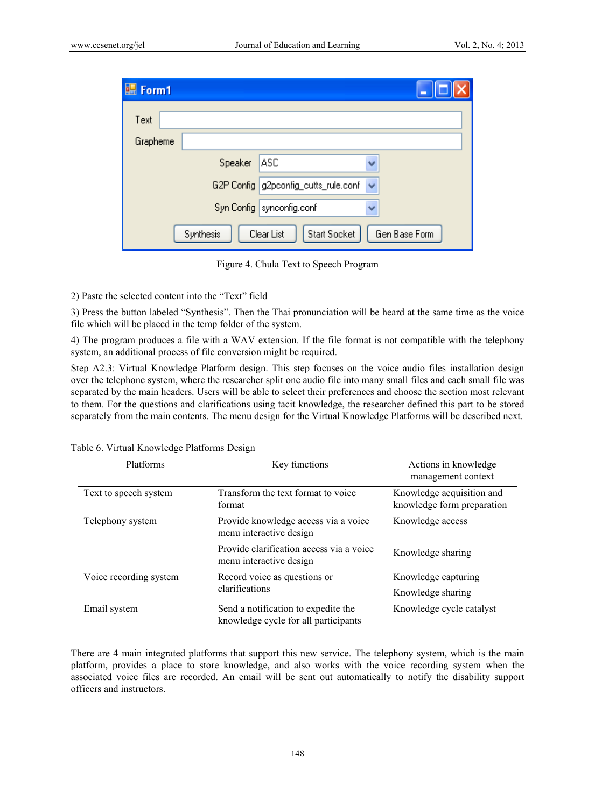| <b>H</b> Form1 |           |                                      |               |
|----------------|-----------|--------------------------------------|---------------|
| Text           |           |                                      |               |
| Grapheme       |           |                                      |               |
|                | Speaker   | ASC                                  | v             |
|                |           | G2P Config g2pconfig_cutts_rule.conf | ×             |
|                |           | Syn Config   synconfig.conf          |               |
|                | Synthesis | Clear List<br>Start Socket           | Gen Base Form |

Figure 4. Chula Text to Speech Program

2) Paste the selected content into the "Text" field

3) Press the button labeled "Synthesis". Then the Thai pronunciation will be heard at the same time as the voice file which will be placed in the temp folder of the system.

4) The program produces a file with a WAV extension. If the file format is not compatible with the telephony system, an additional process of file conversion might be required.

Step A2.3: Virtual Knowledge Platform design. This step focuses on the voice audio files installation design over the telephone system, where the researcher split one audio file into many small files and each small file was separated by the main headers. Users will be able to select their preferences and choose the section most relevant to them. For the questions and clarifications using tacit knowledge, the researcher defined this part to be stored separately from the main contents. The menu design for the Virtual Knowledge Platforms will be described next.

| Platforms              | Key functions                                                               | Actions in knowledge<br>management context              |
|------------------------|-----------------------------------------------------------------------------|---------------------------------------------------------|
| Text to speech system  | Transform the text format to voice<br>format                                | Knowledge acquisition and<br>knowledge form preparation |
| Telephony system       | Provide knowledge access via a voice<br>menu interactive design             | Knowledge access                                        |
|                        | Provide clarification access via a voice<br>menu interactive design         | Knowledge sharing                                       |
| Voice recording system | Record voice as questions or                                                | Knowledge capturing                                     |
|                        | clarifications                                                              | Knowledge sharing                                       |
| Email system           | Send a notification to expedite the<br>knowledge cycle for all participants | Knowledge cycle catalyst                                |

Table 6. Virtual Knowledge Platforms Design

There are 4 main integrated platforms that support this new service. The telephony system, which is the main platform, provides a place to store knowledge, and also works with the voice recording system when the associated voice files are recorded. An email will be sent out automatically to notify the disability support officers and instructors.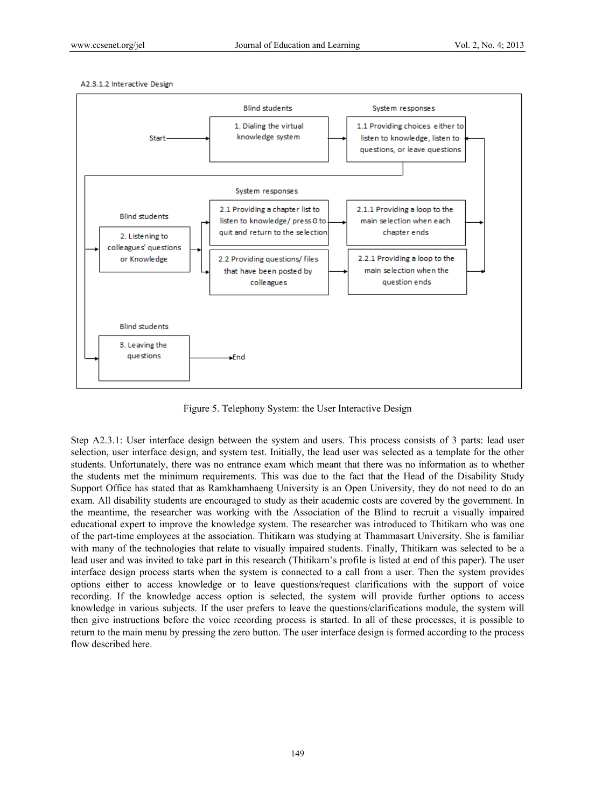A2.3.1.2 Interactive Design



Figure 5. Telephony System: the User Interactive Design

Step A2.3.1: User interface design between the system and users. This process consists of 3 parts: lead user selection, user interface design, and system test. Initially, the lead user was selected as a template for the other students. Unfortunately, there was no entrance exam which meant that there was no information as to whether the students met the minimum requirements. This was due to the fact that the Head of the Disability Study Support Office has stated that as Ramkhamhaeng University is an Open University, they do not need to do an exam. All disability students are encouraged to study as their academic costs are covered by the government. In the meantime, the researcher was working with the Association of the Blind to recruit a visually impaired educational expert to improve the knowledge system. The researcher was introduced to Thitikarn who was one of the part-time employees at the association. Thitikarn was studying at Thammasart University. She is familiar with many of the technologies that relate to visually impaired students. Finally, Thitikarn was selected to be a lead user and was invited to take part in this research (Thitikarn's profile is listed at end of this paper). The user interface design process starts when the system is connected to a call from a user. Then the system provides options either to access knowledge or to leave questions/request clarifications with the support of voice recording. If the knowledge access option is selected, the system will provide further options to access knowledge in various subjects. If the user prefers to leave the questions/clarifications module, the system will then give instructions before the voice recording process is started. In all of these processes, it is possible to return to the main menu by pressing the zero button. The user interface design is formed according to the process flow described here.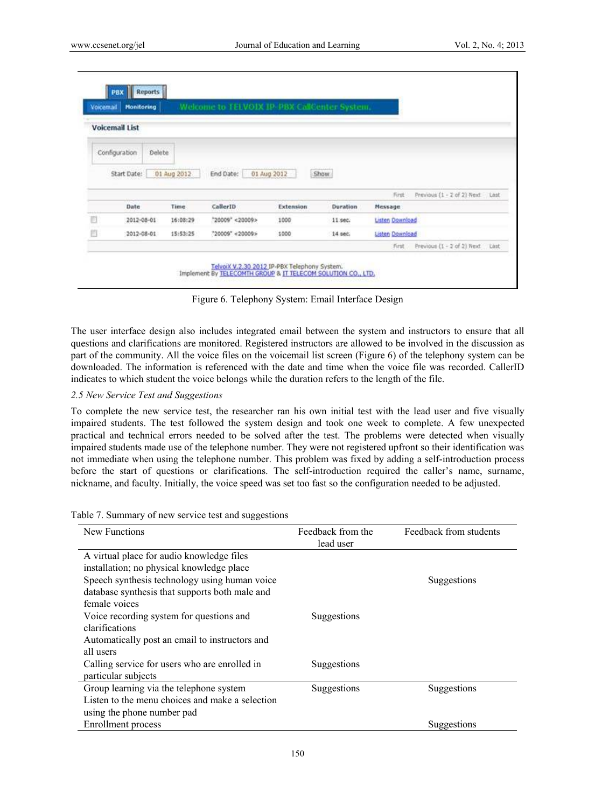| Voicemail | <b>Monitoring</b>       |             | Welcome to TELVOIX IP PBX CallCenter System. |                  |          |                        |                                 |  |
|-----------|-------------------------|-------------|----------------------------------------------|------------------|----------|------------------------|---------------------------------|--|
|           | <b>Voicemail List</b>   |             |                                              |                  |          |                        |                                 |  |
|           | Configuration<br>Delete |             |                                              |                  |          |                        |                                 |  |
|           |                         |             |                                              |                  |          |                        |                                 |  |
|           |                         |             |                                              |                  |          |                        |                                 |  |
|           | Start Date:             | 01 Aug 2012 | End Date:                                    | 01 Aug 2012      | Show.    |                        |                                 |  |
|           |                         |             |                                              |                  |          | First                  | Previous (1 - 2 of 2) Next Last |  |
|           | Date                    | Time        | CallerID                                     | <b>Extension</b> | Duration | Message                |                                 |  |
|           | 2012-08-01              | 16:08:29    | "20009" <20009>                              | 1000             | 11 sec.  | <b>Listen Download</b> |                                 |  |
| E<br>Ü    | 2012-08-01              | 15:53:25    | "20009" <20009>                              | 1000             | 14 sec.  | <b>Listen Download</b> |                                 |  |

Figure 6. Telephony System: Email Interface Design

The user interface design also includes integrated email between the system and instructors to ensure that all questions and clarifications are monitored. Registered instructors are allowed to be involved in the discussion as part of the community. All the voice files on the voicemail list screen (Figure 6) of the telephony system can be downloaded. The information is referenced with the date and time when the voice file was recorded. CallerID indicates to which student the voice belongs while the duration refers to the length of the file.

#### *2.5 New Service Test and Suggestions*

To complete the new service test, the researcher ran his own initial test with the lead user and five visually impaired students. The test followed the system design and took one week to complete. A few unexpected practical and technical errors needed to be solved after the test. The problems were detected when visually impaired students made use of the telephone number. They were not registered upfront so their identification was not immediate when using the telephone number. This problem was fixed by adding a self-introduction process before the start of questions or clarifications. The self-introduction required the caller's name, surname, nickname, and faculty. Initially, the voice speed was set too fast so the configuration needed to be adjusted.

| able $\ell$ . Summary of new service test and suggestions |                   |                        |
|-----------------------------------------------------------|-------------------|------------------------|
| New Functions                                             | Feedback from the | Feedback from students |
|                                                           | lead user         |                        |
| A virtual place for audio knowledge files                 |                   |                        |
| installation; no physical knowledge place                 |                   |                        |
| Speech synthesis technology using human voice             |                   | Suggestions            |
| database synthesis that supports both male and            |                   |                        |
| female voices                                             |                   |                        |
| Voice recording system for questions and                  | Suggestions       |                        |
| clarifications                                            |                   |                        |
| Automatically post an email to instructors and            |                   |                        |
| all users                                                 |                   |                        |
|                                                           |                   |                        |

Table 7. Summary of new service test and suggestions

| all users                                       |             |             |
|-------------------------------------------------|-------------|-------------|
| Calling service for users who are enrolled in   | Suggestions |             |
| particular subjects                             |             |             |
| Group learning via the telephone system         | Suggestions | Suggestions |
| Listen to the menu choices and make a selection |             |             |
| using the phone number pad                      |             |             |
| <b>Enrollment</b> process                       |             | Suggestions |
|                                                 |             |             |
|                                                 |             |             |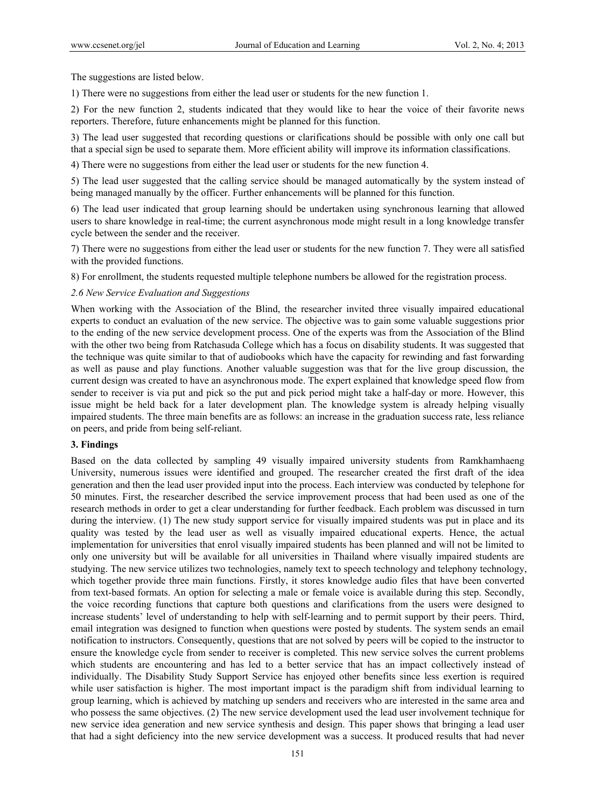The suggestions are listed below.

1) There were no suggestions from either the lead user or students for the new function 1.

2) For the new function 2, students indicated that they would like to hear the voice of their favorite news reporters. Therefore, future enhancements might be planned for this function.

3) The lead user suggested that recording questions or clarifications should be possible with only one call but that a special sign be used to separate them. More efficient ability will improve its information classifications.

4) There were no suggestions from either the lead user or students for the new function 4.

5) The lead user suggested that the calling service should be managed automatically by the system instead of being managed manually by the officer. Further enhancements will be planned for this function.

6) The lead user indicated that group learning should be undertaken using synchronous learning that allowed users to share knowledge in real-time; the current asynchronous mode might result in a long knowledge transfer cycle between the sender and the receiver.

7) There were no suggestions from either the lead user or students for the new function 7. They were all satisfied with the provided functions.

8) For enrollment, the students requested multiple telephone numbers be allowed for the registration process.

#### *2.6 New Service Evaluation and Suggestions*

When working with the Association of the Blind, the researcher invited three visually impaired educational experts to conduct an evaluation of the new service. The objective was to gain some valuable suggestions prior to the ending of the new service development process. One of the experts was from the Association of the Blind with the other two being from Ratchasuda College which has a focus on disability students. It was suggested that the technique was quite similar to that of audiobooks which have the capacity for rewinding and fast forwarding as well as pause and play functions. Another valuable suggestion was that for the live group discussion, the current design was created to have an asynchronous mode. The expert explained that knowledge speed flow from sender to receiver is via put and pick so the put and pick period might take a half-day or more. However, this issue might be held back for a later development plan. The knowledge system is already helping visually impaired students. The three main benefits are as follows: an increase in the graduation success rate, less reliance on peers, and pride from being self-reliant.

#### **3. Findings**

Based on the data collected by sampling 49 visually impaired university students from Ramkhamhaeng University, numerous issues were identified and grouped. The researcher created the first draft of the idea generation and then the lead user provided input into the process. Each interview was conducted by telephone for 50 minutes. First, the researcher described the service improvement process that had been used as one of the research methods in order to get a clear understanding for further feedback. Each problem was discussed in turn during the interview. (1) The new study support service for visually impaired students was put in place and its quality was tested by the lead user as well as visually impaired educational experts. Hence, the actual implementation for universities that enrol visually impaired students has been planned and will not be limited to only one university but will be available for all universities in Thailand where visually impaired students are studying. The new service utilizes two technologies, namely text to speech technology and telephony technology, which together provide three main functions. Firstly, it stores knowledge audio files that have been converted from text-based formats. An option for selecting a male or female voice is available during this step. Secondly, the voice recording functions that capture both questions and clarifications from the users were designed to increase students' level of understanding to help with self-learning and to permit support by their peers. Third, email integration was designed to function when questions were posted by students. The system sends an email notification to instructors. Consequently, questions that are not solved by peers will be copied to the instructor to ensure the knowledge cycle from sender to receiver is completed. This new service solves the current problems which students are encountering and has led to a better service that has an impact collectively instead of individually. The Disability Study Support Service has enjoyed other benefits since less exertion is required while user satisfaction is higher. The most important impact is the paradigm shift from individual learning to group learning, which is achieved by matching up senders and receivers who are interested in the same area and who possess the same objectives. (2) The new service development used the lead user involvement technique for new service idea generation and new service synthesis and design. This paper shows that bringing a lead user that had a sight deficiency into the new service development was a success. It produced results that had never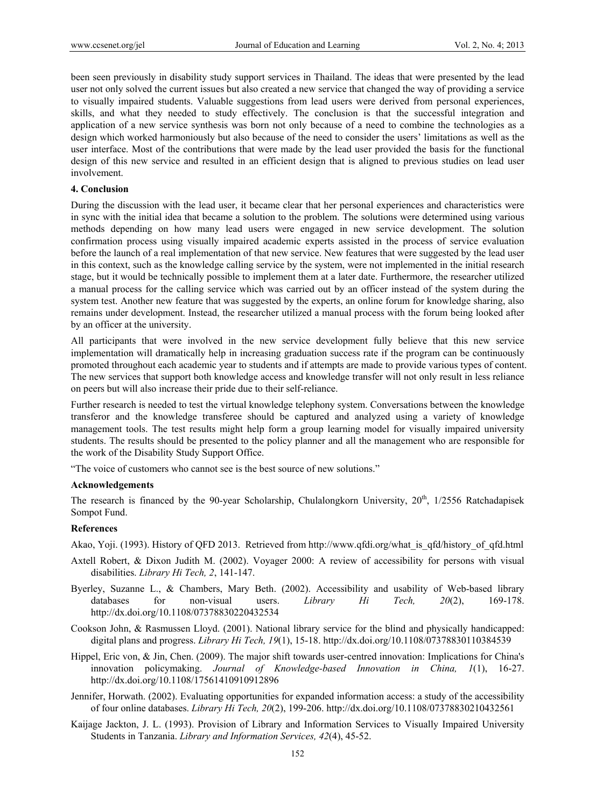been seen previously in disability study support services in Thailand. The ideas that were presented by the lead user not only solved the current issues but also created a new service that changed the way of providing a service to visually impaired students. Valuable suggestions from lead users were derived from personal experiences, skills, and what they needed to study effectively. The conclusion is that the successful integration and application of a new service synthesis was born not only because of a need to combine the technologies as a design which worked harmoniously but also because of the need to consider the users' limitations as well as the user interface. Most of the contributions that were made by the lead user provided the basis for the functional design of this new service and resulted in an efficient design that is aligned to previous studies on lead user involvement.

#### **4. Conclusion**

During the discussion with the lead user, it became clear that her personal experiences and characteristics were in sync with the initial idea that became a solution to the problem. The solutions were determined using various methods depending on how many lead users were engaged in new service development. The solution confirmation process using visually impaired academic experts assisted in the process of service evaluation before the launch of a real implementation of that new service. New features that were suggested by the lead user in this context, such as the knowledge calling service by the system, were not implemented in the initial research stage, but it would be technically possible to implement them at a later date. Furthermore, the researcher utilized a manual process for the calling service which was carried out by an officer instead of the system during the system test. Another new feature that was suggested by the experts, an online forum for knowledge sharing, also remains under development. Instead, the researcher utilized a manual process with the forum being looked after by an officer at the university.

All participants that were involved in the new service development fully believe that this new service implementation will dramatically help in increasing graduation success rate if the program can be continuously promoted throughout each academic year to students and if attempts are made to provide various types of content. The new services that support both knowledge access and knowledge transfer will not only result in less reliance on peers but will also increase their pride due to their self-reliance.

Further research is needed to test the virtual knowledge telephony system. Conversations between the knowledge transferor and the knowledge transferee should be captured and analyzed using a variety of knowledge management tools. The test results might help form a group learning model for visually impaired university students. The results should be presented to the policy planner and all the management who are responsible for the work of the Disability Study Support Office.

"The voice of customers who cannot see is the best source of new solutions."

#### **Acknowledgements**

The research is financed by the 90-year Scholarship, Chulalongkorn University,  $20<sup>th</sup>$ , 1/2556 Ratchadapisek Sompot Fund.

## **References**

Akao, Yoji. (1993). History of QFD 2013. Retrieved from http://www.qfdi.org/what\_is\_qfd/history\_of\_qfd.html

- Axtell Robert, & Dixon Judith M. (2002). Voyager 2000: A review of accessibility for persons with visual disabilities. *Library Hi Tech, 2*, 141-147.
- Byerley, Suzanne L., & Chambers, Mary Beth. (2002). Accessibility and usability of Web-based library databases for non-visual users. *Library Hi Tech, 20*(2), 169-178. http://dx.doi.org/10.1108/07378830220432534
- Cookson John, & Rasmussen Lloyd. (2001). National library service for the blind and physically handicapped: digital plans and progress. *Library Hi Tech, 19*(1), 15-18. http://dx.doi.org/10.1108/07378830110384539
- Hippel, Eric von, & Jin, Chen. (2009). The major shift towards user-centred innovation: Implications for China's innovation policymaking. *Journal of Knowledge-based Innovation in China, 1*(1), 16-27. http://dx.doi.org/10.1108/17561410910912896
- Jennifer, Horwath. (2002). Evaluating opportunities for expanded information access: a study of the accessibility of four online databases. *Library Hi Tech, 20*(2), 199-206. http://dx.doi.org/10.1108/07378830210432561
- Kaijage Jackton, J. L. (1993). Provision of Library and Information Services to Visually Impaired University Students in Tanzania. *Library and Information Services, 42*(4), 45-52.